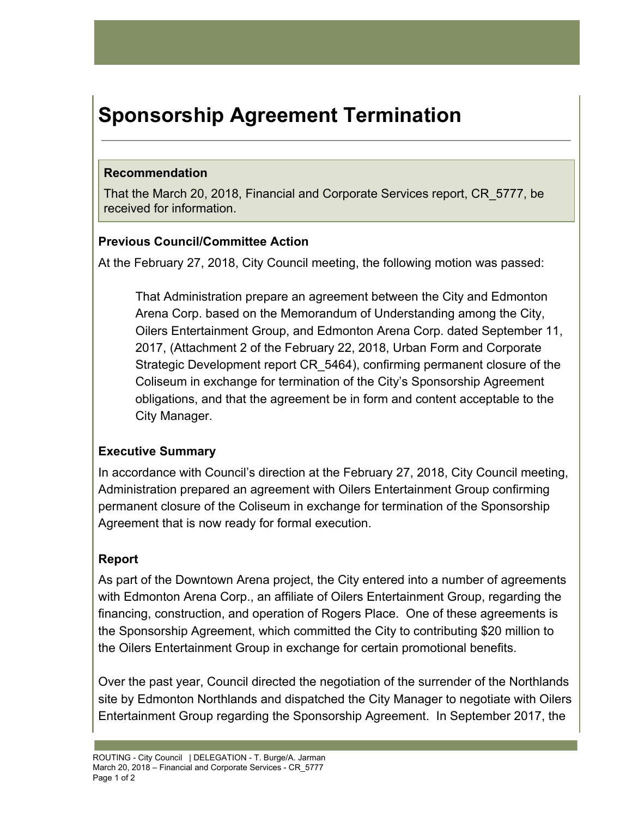# **Sponsorship Agreement Termination**

#### **Recommendation**

That the March 20, 2018, Financial and Corporate Services report, CR\_5777, be received for information.

### **Previous Council/Committee Action**

At the February 27, 2018, City Council meeting, the following motion was passed:

That Administration prepare an agreement between the City and Edmonton Arena Corp. based on the Memorandum of Understanding among the City, Oilers Entertainment Group, and Edmonton Arena Corp. dated September 11, 2017, (Attachment 2 of the February 22, 2018, Urban Form and Corporate Strategic Development report CR\_5464), confirming permanent closure of the Coliseum in exchange for termination of the City's Sponsorship Agreement obligations, and that the agreement be in form and content acceptable to the City Manager.

## **Executive Summary**

In accordance with Council's direction at the February 27, 2018, City Council meeting, Administration prepared an agreement with Oilers Entertainment Group confirming permanent closure of the Coliseum in exchange for termination of the Sponsorship Agreement that is now ready for formal execution.

## **Report**

As part of the Downtown Arena project, the City entered into a number of agreements with Edmonton Arena Corp., an affiliate of Oilers Entertainment Group, regarding the financing, construction, and operation of Rogers Place. One of these agreements is the Sponsorship Agreement, which committed the City to contributing \$20 million to the Oilers Entertainment Group in exchange for certain promotional benefits.

Over the past year, Council directed the negotiation of the surrender of the Northlands site by Edmonton Northlands and dispatched the City Manager to negotiate with Oilers Entertainment Group regarding the Sponsorship Agreement. In September 2017, the